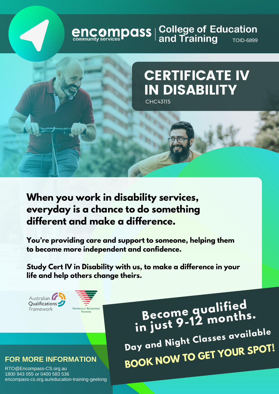# **encompass** | College of Education<br> **engage of Education**



## **CERTIFICATE IV IN DISABILITY CHC43115**

When you work in disability services, everyday is a chance to do something different and make a difference.

You're providing care and support to someone, helping them to become more independent and confidence.

Study Cert IV in Disability with us, to make a difference in your life and help others change theirs.

Australian Qualifications Framework



Become gualified<br>in just 9-12 months. Day and Night Classes available BOOK NOW TO GET YOUR SPOT!

#### **FOR MORE INFORMATION**

RTO@Encompass-CS.org.au 1800 943 055 or 0400 583 536 encompass-cs.org.au/education-training-geelong